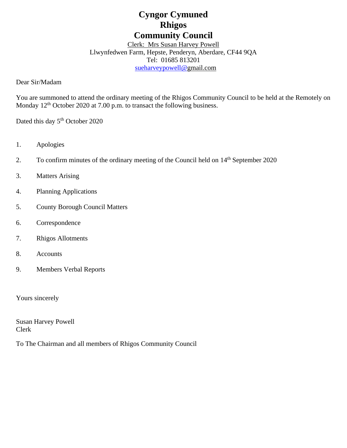# **Cyngor Cymuned Rhigos Community Council**

Clerk: Mrs Susan Harvey Powell Llwynfedwen Farm, Hepste, Penderyn, Aberdare, CF44 9QA Tel: 01685 813201 [sueharveypowell@g](mailto:sharveypowell@comin-infants.co.uk)mail.com

Dear Sir/Madam

You are summoned to attend the ordinary meeting of the Rhigos Community Council to be held at the Remotely on Monday 12<sup>th</sup> October 2020 at 7.00 p.m. to transact the following business.

Dated this day 5<sup>th</sup> October 2020

- 1. Apologies
- 2. To confirm minutes of the ordinary meeting of the Council held on 14<sup>th</sup> September 2020
- 3. Matters Arising
- 4. Planning Applications
- 5. County Borough Council Matters
- 6. Correspondence
- 7. Rhigos Allotments
- 8. Accounts
- 9. Members Verbal Reports

Yours sincerely

Susan Harvey Powell Clerk

To The Chairman and all members of Rhigos Community Council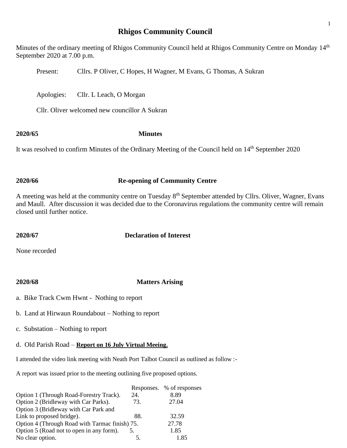## **Rhigos Community Council**

Minutes of the ordinary meeting of Rhigos Community Council held at Rhigos Community Centre on Monday 14<sup>th</sup> September 2020 at 7.00 p.m.

Present: Cllrs. P Oliver, C Hopes, H Wagner, M Evans, G Thomas, A Sukran

Apologies: Cllr. L Leach, O Morgan

Cllr. Oliver welcomed new councillor A Sukran

### **2020/65 Minutes**

It was resolved to confirm Minutes of the Ordinary Meeting of the Council held on 14<sup>th</sup> September 2020

### **2020/66 Re-opening of Community Centre**

A meeting was held at the community centre on Tuesday 8<sup>th</sup> September attended by Cllrs. Oliver, Wagner, Evans and Maull. After discussion it was decided due to the Coronavirus regulations the community centre will remain closed until further notice.

### **2020/67 Declaration of Interest**

None recorded

### **2020/68 Matters Arising**

- a. Bike Track Cwm Hwnt Nothing to report
- b. Land at Hirwaun Roundabout Nothing to report
- c. Substation Nothing to report

## d. Old Parish Road – **Report on 16 July Virtual Meeing.**

I attended the video link meeting with Neath Port Talbot Council as outlined as follow :-

A report was issued prior to the meeting outlining five proposed options.

|                                                |     | Responses. % of responses |
|------------------------------------------------|-----|---------------------------|
| Option 1 (Through Road-Forestry Track).        | 24. | 8.89                      |
| Option 2 (Bridleway with Car Parks).           | 73. | 27.04                     |
| Option 3 (Bridleway with Car Park and          |     |                           |
| Link to proposed bridge).                      | 88. | 32.59                     |
| Option 4 (Through Road with Tarmac finish) 75. |     | 27.78                     |
| Option 5 (Road not to open in any form).       |     | 1.85                      |
| No clear option.                               |     | 1.85                      |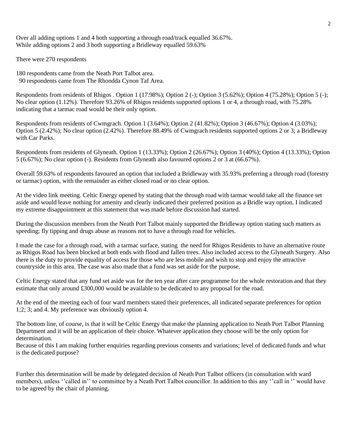Over all adding options 1 and 4 both supporting a through road/track equalled 36.67%. While adding options 2 and 3 both supporting a Bridleway equalled 59.63%

There were 270 respondents

180 respondents came from the Neath Port Talbot area. 90 respondents came from The Rhondda Cynon Taf Area.

Respondents from residents of Rhigos . Option 1 (17.98%); Option 2 (-); Option 3 (5.62%); Option 4 (75.28%); Option 5 (-); No clear option (1.12%). Therefore 93.26% of Rhigos residents supported options 1 or 4, a through road, with 75.28% indicating that a tarmac road would be their only option.

Respondents from residents of Cwmgrach. Option 1 (3.64%); Option 2 (41.82%); Option 3 (46.67%); Option 4 (3.03%); Option 5 (2.42%); No clear option (2.42%). Therefore 88.49% of Cwmgrach residents supported options 2 or 3; a Bridleway with Car Parks.

Respondents from residents of Glyneath. Option 1 (13.33%); Option 2 (26.67%); Option 3 (40%); Option 4 (13.33%); Option 5 (6.67%); No clear option (-). Residents from Glyneath also favoured options 2 or 3 at (66.67%).

Overall 59.63% of respondents favoured an option that included a Bridleway with 35.93% preferring a through road (forestry or tarmac) option, with the remainder as either closed road or no clear option.

At the video link meeting. Celtic Energy opened by stating that the through road with tarmac would take all the finance set aside and would leave nothing for amenity and clearly indicated their preferred position as a Bridle way option. I indicated my extreme disappointment at this statement that was made before discussion had started.

During the discussion members from the Neath Port Talbot mainly supported the Bridleway option stating such matters as speeding; fly tipping and drugs abuse as reasons not to have a through road for vehicles.

I made the case for a through road, with a tarmac surface, stating the need for Rhigos Residents to have an alternative route as Rhigos Road has been blocked at both ends with flood and fallen trees. Also included access to the Glyneath Surgery. Also there is the duty to provide equality of access for those who are less mobile and wish to stop and enjoy the attractive countryside in this area. The case was also made that a fund was set aside for the purpose.

Celtic Energy stated that any fund set aside was for the ten year after care programme for the whole restoration and that they estimate that only around £300,000 would be available to be dedicated to any proposal for the road.

At the end of the meeting each of four ward members stated their preferences, all indicated separate preferences for option 1;2; 3; and 4. My preference was obviously option 4.

The bottom line, of course, is that it will be Celtic Energy that make the planning application to Neath Port Talbot Planning Department and it will be an application of their choice. Whatever application they choose will be the only option for determination.

Because of this I am making further enquiries regarding previous consents and variations; level of dedicated funds and what is the dedicated purpose?

Further this determination will be made by delegated decision of Neath Port Talbot officers (in consultation with ward members), unless "called in" to committee by a Neath Port Talbot councillor. In addition to this any "call in " would have to be agreed by the chair of planning.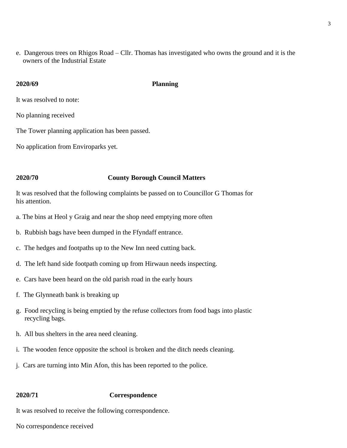e. Dangerous trees on Rhigos Road – Cllr. Thomas has investigated who owns the ground and it is the owners of the Industrial Estate

### **2020/69 Planning**

It was resolved to note:

No planning received

The Tower planning application has been passed.

No application from Enviroparks yet.

### **2020/70 County Borough Council Matters**

It was resolved that the following complaints be passed on to Councillor G Thomas for his attention.

- a. The bins at Heol y Graig and near the shop need emptying more often
- b. Rubbish bags have been dumped in the Ffyndaff entrance.
- c. The hedges and footpaths up to the New Inn need cutting back.
- d. The left hand side footpath coming up from Hirwaun needs inspecting.
- e. Cars have been heard on the old parish road in the early hours
- f. The Glynneath bank is breaking up
- g. Food recycling is being emptied by the refuse collectors from food bags into plastic recycling bags.
- h. All bus shelters in the area need cleaning.
- i. The wooden fence opposite the school is broken and the ditch needs cleaning.
- j. Cars are turning into Min Afon, this has been reported to the police.

### **2020/71 Correspondence**

It was resolved to receive the following correspondence.

No correspondence received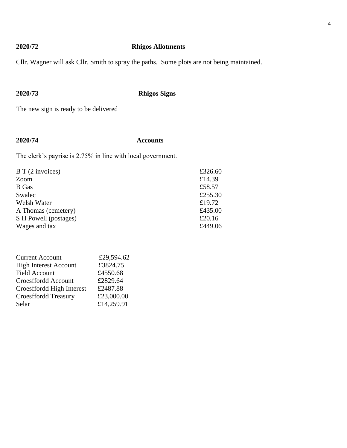## **2020/72 Rhigos Allotments**

Cllr. Wagner will ask Cllr. Smith to spray the paths. Some plots are not being maintained.

**2020/73 Rhigos Signs**

The new sign is ready to be delivered

## **2020/74 Accounts**

The clerk's payrise is 2.75% in line with local government.

| $B T(2$ invoices)     | £326.60 |
|-----------------------|---------|
| Zoom                  | £14.39  |
| <b>B</b> Gas          | £58.57  |
| Swalec                | £255.30 |
| Welsh Water           | £19.72  |
| A Thomas (cemetery)   | £435.00 |
| S H Powell (postages) | £20.16  |
| Wages and tax         | £449.06 |

| £29,594.62 |
|------------|
| £3824.75   |
| £4550.68   |
| £2829.64   |
| £2487.88   |
| £23,000.00 |
| £14,259.91 |
|            |